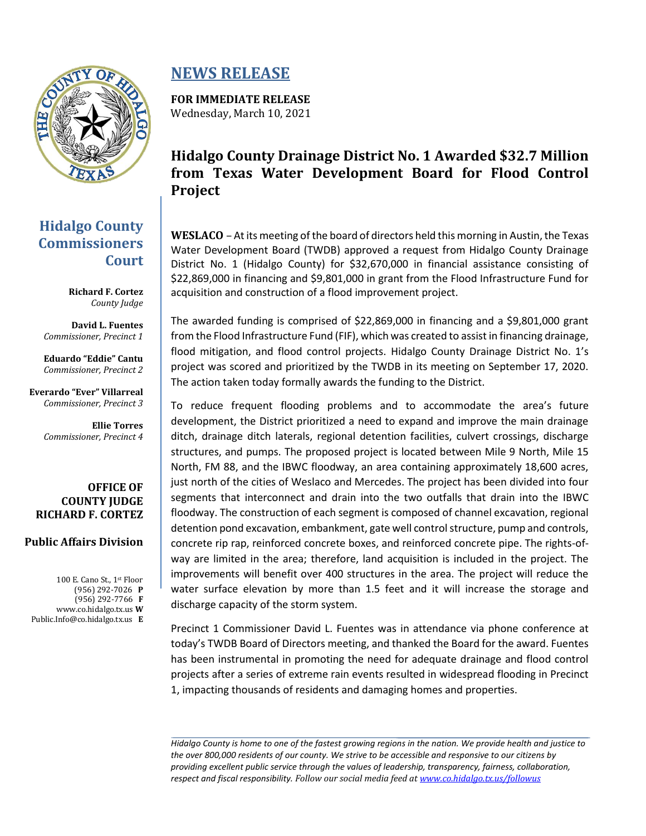

## **Hidalgo County Commissioners Court**

**Richard F. Cortez** *County Judge*

**David L. Fuentes** *Commissioner, Precinct 1*

**Eduardo "Eddie" Cantu** *Commissioner, Precinct 2*

**Everardo "Ever" Villarreal** *Commissioner, Precinct 3*

> **Ellie Torres** *Commissioner, Precinct 4*

#### **OFFICE OF COUNTY JUDGE RICHARD F. CORTEZ**

### **Public Affairs Division**

100 E. Cano St., 1st Floor (956) 292-7026 **P** (956) 292-7766 **F** www.co.hidalgo.tx.us **W** Public.Info@co.hidalgo.tx.us **E**

# **NEWS RELEASE**

**FOR IMMEDIATE RELEASE** Wednesday, March 10, 2021

# **Hidalgo County Drainage District No. 1 Awarded \$32.7 Million from Texas Water Development Board for Flood Control Project**

**WESLACO** – At its meeting of the board of directors held this morning in Austin, the Texas Water Development Board (TWDB) approved a request from Hidalgo County Drainage District No. 1 (Hidalgo County) for \$32,670,000 in financial assistance consisting of \$22,869,000 in financing and \$9,801,000 in grant from the Flood Infrastructure Fund for acquisition and construction of a flood improvement project.

The awarded funding is comprised of \$22,869,000 in financing and a \$9,801,000 grant from the Flood Infrastructure Fund (FIF), which was created to assist in financing drainage, flood mitigation, and flood control projects. Hidalgo County Drainage District No. 1's project was scored and prioritized by the TWDB in its meeting on September 17, 2020. The action taken today formally awards the funding to the District.

To reduce frequent flooding problems and to accommodate the area's future development, the District prioritized a need to expand and improve the main drainage ditch, drainage ditch laterals, regional detention facilities, culvert crossings, discharge structures, and pumps. The proposed project is located between Mile 9 North, Mile 15 North, FM 88, and the IBWC floodway, an area containing approximately 18,600 acres, just north of the cities of Weslaco and Mercedes. The project has been divided into four segments that interconnect and drain into the two outfalls that drain into the IBWC floodway. The construction of each segment is composed of channel excavation, regional detention pond excavation, embankment, gate well control structure, pump and controls, concrete rip rap, reinforced concrete boxes, and reinforced concrete pipe. The rights-ofway are limited in the area; therefore, land acquisition is included in the project. The improvements will benefit over 400 structures in the area. The project will reduce the water surface elevation by more than 1.5 feet and it will increase the storage and discharge capacity of the storm system.

Precinct 1 Commissioner David L. Fuentes was in attendance via phone conference at today's TWDB Board of Directors meeting, and thanked the Board for the award. Fuentes has been instrumental in promoting the need for adequate drainage and flood control projects after a series of extreme rain events resulted in widespread flooding in Precinct 1, impacting thousands of residents and damaging homes and properties.

*Hidalgo County is home to one of the fastest growing regions in the nation. We provide health and justice to the over 800,000 residents of our county. We strive to be accessible and responsive to our citizens by providing excellent public service through the values of leadership, transparency, fairness, collaboration, respect and fiscal responsibility. Follow our social media feed at [www.co.hidalgo.tx.us/followus](http://www.co.hidalgo.tx.us/followus)*